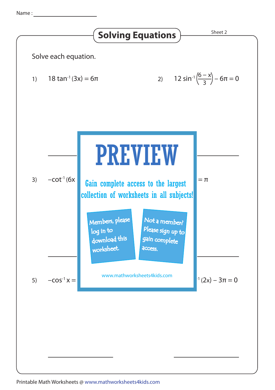